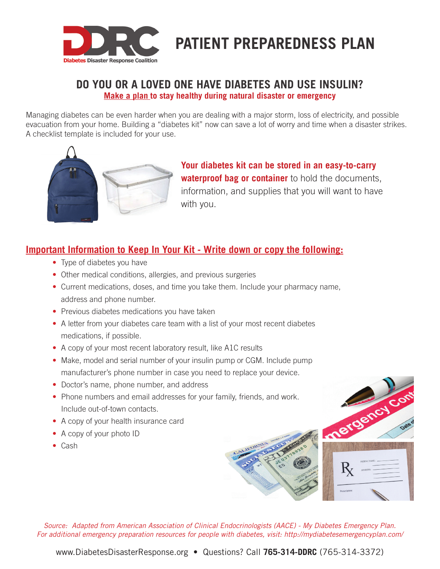

# **PATIENT PREPAREDNESS PLAN**

### **DO YOU OR A LOVED ONE HAVE DIABETES AND USE INSULIN? Make a plan to stay healthy during natural disaster or emergency**

Managing diabetes can be even harder when you are dealing with a major storm, loss of electricity, and possible evacuation from your home. Building a "diabetes kit" now can save a lot of worry and time when a disaster strikes. A checklist template is included for your use.



 **Your diabetes kit can be stored in an easy-to-carry waterproof bag or container** to hold the documents, information, and supplies that you will want to have with you.

## **Important Information to Keep In Your Kit - Write down or copy the following:**

- Type of diabetes you have
- Other medical conditions, allergies, and previous surgeries
- Current medications, doses, and time you take them. Include your pharmacy name, address and phone number.
- Previous diabetes medications you have taken
- A letter from your diabetes care team with a list of your most recent diabetes medications, if possible.
- A copy of your most recent laboratory result, like A1C results
- Make, model and serial number of your insulin pump or CGM. Include pump manufacturer's phone number in case you need to replace your device.
- Doctor's name, phone number, and address
- Phone numbers and email addresses for your family, friends, and work. Include out-of-town contacts.
- A copy of your health insurance card
- A copy of your photo ID
- Cash



mergency co

*Source: Adapted from American Association of Clinical Endocrinologists (AACE) - My Diabetes Emergency Plan. For additional emergency preparation resources for people with diabetes, visit: http://mydiabetesemergencyplan.com/*